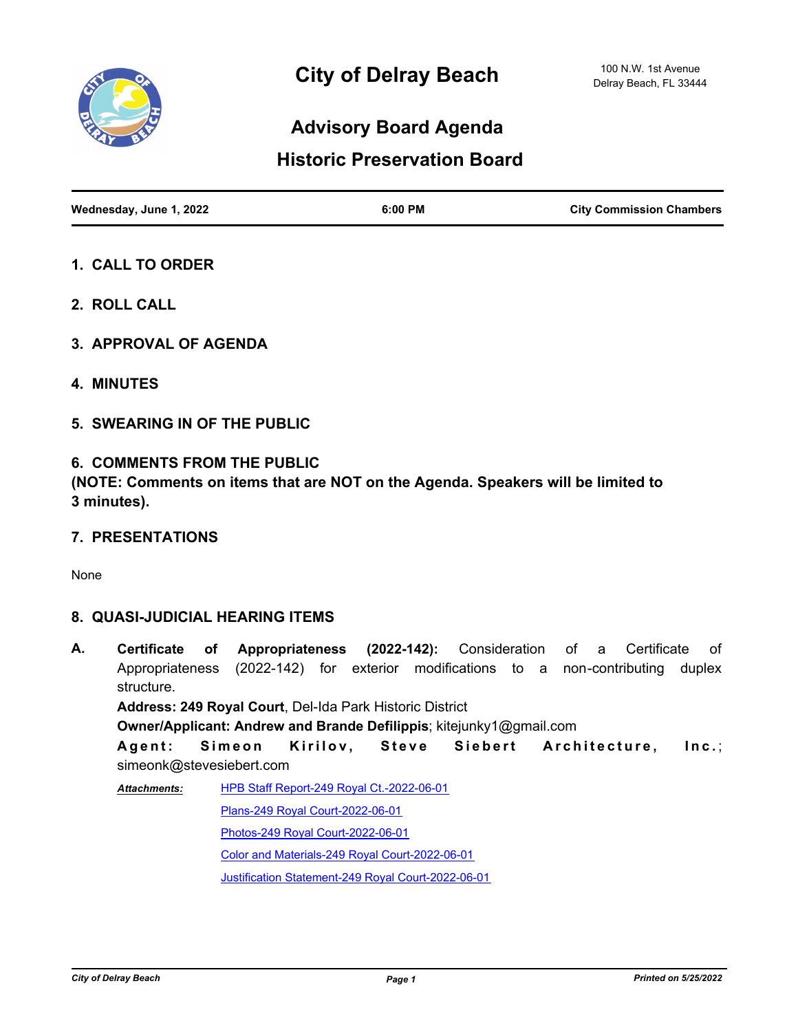

# **Advisory Board Agenda**

## **Historic Preservation Board**

| Wednesday, June 1, 2022 | 6:00 PM | <b>City Commission Chambers</b> |
|-------------------------|---------|---------------------------------|

- **1. CALL TO ORDER**
- **2. ROLL CALL**
- **3. APPROVAL OF AGENDA**
- **4. MINUTES**
- **5. SWEARING IN OF THE PUBLIC**

#### **6. COMMENTS FROM THE PUBLIC**

**(NOTE: Comments on items that are NOT on the Agenda. Speakers will be limited to 3 minutes).**

**7. PRESENTATIONS**

None

#### **8. QUASI-JUDICIAL HEARING ITEMS**

**A. Certificate of Appropriateness (2022-142):** Consideration of a Certificate of Appropriateness (2022-142) for exterior modifications to a non-contributing duplex structure. **Address: 249 Royal Court**, Del-Ida Park Historic District **Owner/Applicant: Andrew and Brande Defilippis**; kitejunky1@gmail.com Agent: Simeon Kirilov, Steve Siebert Architecture, Inc.; simeonk@stevesiebert.com [HPB Staff Report-249 Royal Ct.-2022-06-01](http://delraybeach.legistar.com/gateway.aspx?M=F&ID=57e30155-74ea-4542-8a81-b6c9a155e58e.pdf) [Plans-249 Royal Court-2022-06-01](http://delraybeach.legistar.com/gateway.aspx?M=F&ID=19507147-17cb-4a30-9172-7f50f61479fa.pdf) [Photos-249 Royal Court-2022-06-01](http://delraybeach.legistar.com/gateway.aspx?M=F&ID=9acfe9b6-131f-4f56-8391-53de57a40b35.pdf) *Attachments:*

[Color and Materials-249 Royal Court-2022-06-01](http://delraybeach.legistar.com/gateway.aspx?M=F&ID=82641da6-7683-4710-b3e9-d09bb3c1c5a6.pdf)

[Justification Statement-249 Royal Court-2022-06-01](http://delraybeach.legistar.com/gateway.aspx?M=F&ID=cdf6bfac-de1a-419e-b318-ccfcbb693c28.pdf)